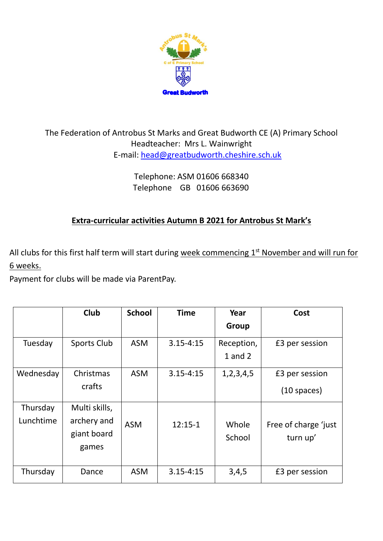

## The Federation of Antrobus St Marks and Great Budworth CE (A) Primary School Headteacher: Mrs L. Wainwright E-mail: [head@greatbudworth.cheshire.sch.uk](mailto:head@greatbudworth.cheshire.sch.uk)

Telephone: ASM 01606 668340 Telephone GB 01606 663690

## **Extra-curricular activities Autumn B 2021 for Antrobus St Mark's**

All clubs for this first half term will start during week commencing 1<sup>st</sup> November and will run for 6 weeks.

Payment for clubs will be made via ParentPay.

|           | <b>Club</b>   | <b>School</b> | <b>Time</b>   | Year          | Cost                 |
|-----------|---------------|---------------|---------------|---------------|----------------------|
|           |               |               |               | Group         |                      |
| Tuesday   | Sports Club   | <b>ASM</b>    | $3.15 - 4:15$ | Reception,    | £3 per session       |
|           |               |               |               | $1$ and $2$   |                      |
| Wednesday | Christmas     | <b>ASM</b>    | $3.15 - 4:15$ | 1, 2, 3, 4, 5 | £3 per session       |
|           | crafts        |               |               |               | $(10$ spaces)        |
| Thursday  | Multi skills, |               |               |               |                      |
| Lunchtime | archery and   | <b>ASM</b>    | $12:15-1$     | Whole         | Free of charge 'just |
|           | giant board   |               |               | School        | turn up'             |
|           | games         |               |               |               |                      |
| Thursday  | Dance         | <b>ASM</b>    | $3.15 - 4:15$ | 3,4,5         | £3 per session       |